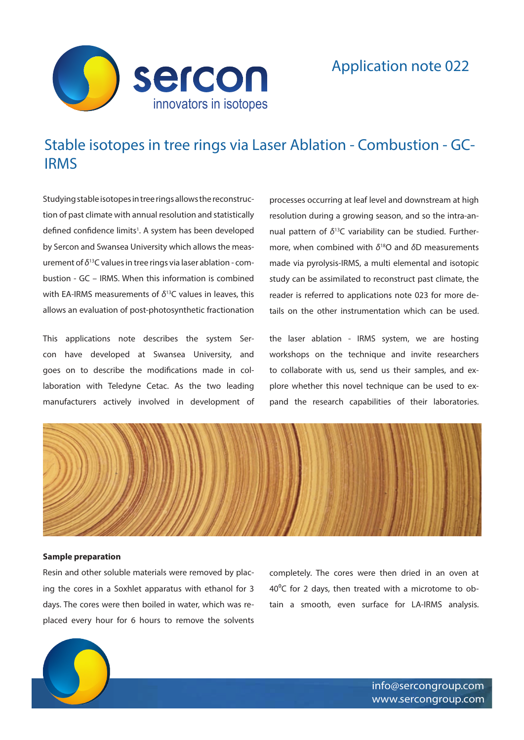

## Application note 022

# Stable isotopes in tree rings via Laser Ablation - Combustion - GC-IRMS

Studying stable isotopes in tree rings allows the reconstruction of past climate with annual resolution and statistically defined confidence limits<sup>1</sup>. A system has been developed by Sercon and Swansea University which allows the measurement of *δ*13C values in tree rings via laser ablation - combustion - GC – IRMS. When this information is combined with EA-IRMS measurements of *δ*13C values in leaves, this allows an evaluation of post-photosynthetic fractionation

This applications note describes the system Sercon have developed at Swansea University, and goes on to describe the modifications made in collaboration with Teledyne Cetac. As the two leading manufacturers actively involved in development of processes occurring at leaf level and downstream at high resolution during a growing season, and so the intra-annual pattern of *δ*13C variability can be studied. Furthermore, when combined with *δ*18O and *δ*D measurements made via pyrolysis-IRMS, a multi elemental and isotopic study can be assimilated to reconstruct past climate, the reader is referred to applications note 023 for more details on the other instrumentation which can be used.

the laser ablation - IRMS system, we are hosting workshops on the technique and invite researchers to collaborate with us, send us their samples, and explore whether this novel technique can be used to expand the research capabilities of their laboratories.



#### **Sample preparation**

Resin and other soluble materials were removed by placing the cores in a Soxhlet apparatus with ethanol for 3 days. The cores were then boiled in water, which was replaced every hour for 6 hours to remove the solvents

completely. The cores were then dried in an oven at  $40^{\circ}$ C for 2 days, then treated with a microtome to obtain a smooth, even surface for LA-IRMS analysis.